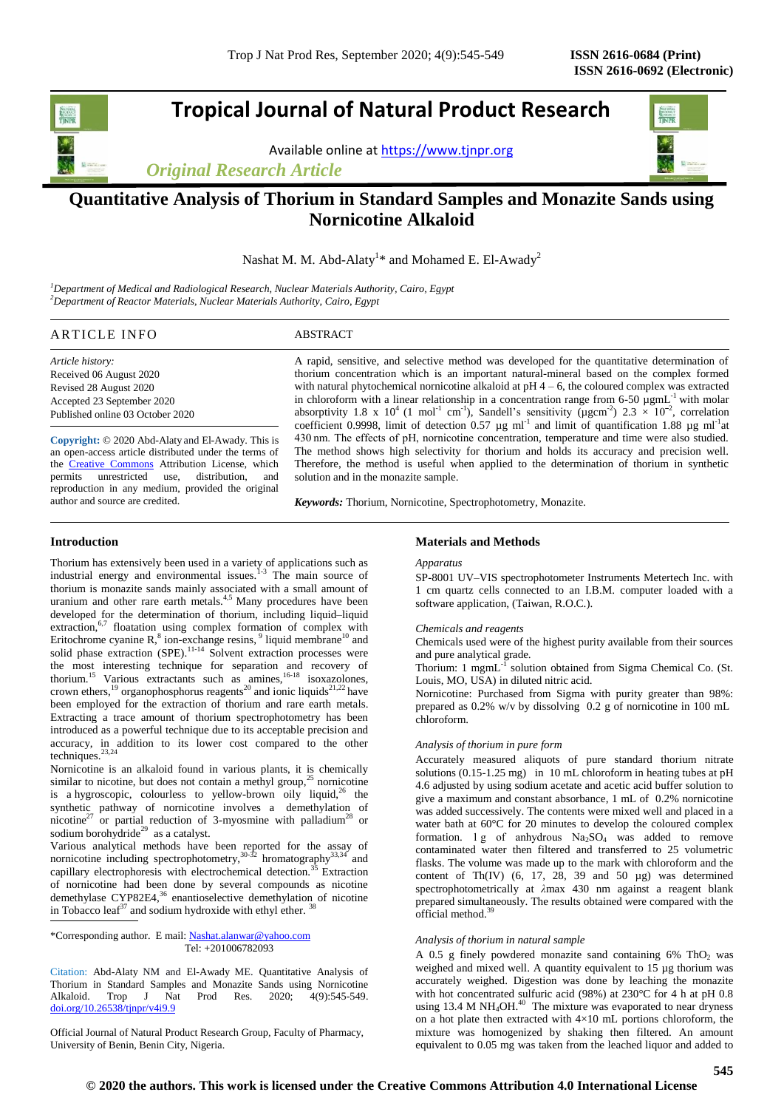# **Tropical Journal of Natural Product Research**

Available online a[t https://www.tjnpr.org](https://www.tjnpr.org/)

*Original Research Article*



## **Quantitative Analysis of Thorium in Standard Samples and Monazite Sands using Nornicotine Alkaloid**

Nashat M. M. Abd-Alaty<sup>1\*</sup> and Mohamed E. El-Awady<sup>2</sup>

*<sup>1</sup>Department of Medical and Radiological Research, Nuclear Materials Authority, Cairo, Egypt <sup>2</sup>Department of Reactor Materials, Nuclear Materials Authority, Cairo, Egypt*

## ARTICLE INFO ABSTRACT

*Article history:* Received 06 August 2020 Revised 28 August 2020 Accepted 23 September 2020 Published online 03 October 2020

**Copyright:** © 2020 Abd-Alaty and El-Awady. This is an open-access article distributed under the terms of the **Creative Commons** Attribution License, which permits unrestricted use, distribution, and reproduction in any medium, provided the original author and source are credited.

A rapid, sensitive, and selective method was developed for the quantitative determination of thorium concentration which is an important natural-mineral based on the complex formed with natural phytochemical nornicotine alkaloid at  $pH 4 - 6$ , the coloured complex was extracted in chloroform with a linear relationship in a concentration range from 6-50  $\mu$ gmL<sup>-1</sup> with molar absorptivity 1.8 x 10<sup>4</sup> (1 mol<sup>-1</sup> cm<sup>-1</sup>), Sandell's sensitivity ( $\mu$ gcm<sup>-2</sup>) 2.3 × 10<sup>-2</sup>, correlation coefficient 0.9998, limit of detection 0.57  $\mu$ g ml<sup>-1</sup> and limit of quantification 1.88  $\mu$ g ml<sup>-1</sup>at 430 nm. The effects of pH, nornicotine concentration, temperature and time were also studied. The method shows high selectivity for thorium and holds its accuracy and precision well. Therefore, the method is useful when applied to the determination of thorium in synthetic solution and in the monazite sample.

*Keywords:* Thorium, Nornicotine, Spectrophotometry, Monazite.

## **Introduction**

Thorium has extensively been used in a variety of applications such as industrial energy and environmental issues.<sup>1-3</sup> The main source of thorium is monazite sands mainly associated with a small amount of uranium and other rare earth metals.<sup>4,5</sup> Many procedures have been developed for the determination of thorium, including liquid–liquid extraction, $6,7$  floatation using complex formation of complex with Eritochrome cyanine  $R$ <sup>8</sup>, ion-exchange resins, <sup>9</sup> liquid membrane<sup>10</sup> and solid phase extraction  $(SPE)$ .<sup>11-14</sup> Solvent extraction processes were the most interesting technique for separation and recovery of thorium.<sup>[15](https://www.hindawi.com/journals/jchem/2016/5078462/#B9)</sup> Various extractants such as amines,<sup>16-18</sup> isoxazolones, crown ethers,<sup>[19](https://www.hindawi.com/journals/jchem/2016/5078462/#B15)</sup> organophosphorus reagents<sup>[20](https://www.hindawi.com/journals/jchem/2016/5078462/#B16)</sup> and ionic liquids<sup>[21,](https://www.hindawi.com/journals/jchem/2016/5078462/#B17)[22](https://www.hindawi.com/journals/jchem/2016/5078462/#B18)</sup> have been employed for the extraction of thorium and rare earth metals. Extracting a trace amount of thorium spectrophotometry has been introduced as a powerful technique due to its acceptable precision and accuracy, in addition to its lower cost compared to the other techniques. $^{23,24}$ 

Nornicotine is an alkaloid found in various plants, it is chemically similar to nicotine, but does not contain a methyl group, $25$  nornicotine is a [hygroscopic,](https://en.wikipedia.org/wiki/Hygroscopy) colourless to yellow-brown oily liquid,  $^{26}$  the synthetic pathway of nornicotine involves a demethylation of nicotine<sup>27</sup> or partial reduction of 3-myosmine with palladium<sup>28</sup> or sodium borohydride<sup>29</sup> as a catalyst.

Various analytical methods have been reported for the assay of nornicotine including spectrophotometry,  $30-32$  hromatography  $33,34$  and capillary electrophoresis with electrochemical detection.<sup>35</sup> Extraction of nornicotine had been done by several compounds as nicotine demethylase CYP82E4, $36$  enantioselective demethylation of nicotine in Tobacco leaf<sup>37</sup> and sodium hydroxide with ethyl ether.

\*Corresponding author. E mail[: Nashat.alanwar@yahoo.com](mailto:Nashat.alanwar@yahoo.com) Tel: +201006782093

Citation: Abd-Alaty NM and El-Awady ME. Quantitative Analysis of Thorium in Standard Samples and Monazite Sands using Nornicotine Alkaloid. Trop J Nat Prod Res. 2020; 4(9):545-549. [doi.org/10.26538/tjnpr/v4i9.9](http://www.doi.org/10.26538/tjnpr/v1i4.5)

Official Journal of Natural Product Research Group, Faculty of Pharmacy, University of Benin, Benin City, Nigeria.

## **Materials and Methods**

#### *Apparatus*

SP-8001 UV–VIS spectrophotometer Instruments Metertech Inc. with 1 cm quartz cells connected to an I.B.M. computer loaded with a software application, (Taiwan, R.O.C.).

#### *Chemicals and reagents*

Chemicals used were of the highest purity available from their sources and pure analytical grade.

Thorium: 1 mgmL<sup>-I</sup> solution obtained from Sigma Chemical Co. (St. Louis, MO, USA) in diluted nitric acid.

Nornicotine: Purchased from Sigma with purity greater than 98%: prepared as 0.2% w/v by dissolving 0.2 g of nornicotine in 100 mL chloroform.

## *Analysis of thorium in pure form*

Accurately measured aliquots of pure standard thorium nitrate solutions  $(0.15-1.25 \text{ mg})$  in 10 mL chloroform in heating tubes at pH 4.6 adjusted by using sodium acetate and acetic acid buffer solution to give a maximum and constant absorbance, 1 mL of 0.2% nornicotine was added successively. The contents were mixed well and placed in a water bath at 60°C for 20 minutes to develop the coloured complex formation. 1 g of anhydrous  $Na<sub>2</sub>SO<sub>4</sub>$  was added to remove contaminated water then filtered and transferred to 25 volumetric flasks. The volume was made up to the mark with chloroform and the content of Th $(IV)$   $(6, 17, 28, 39, 40, 50, \mu g)$  was determined spectrophotometrically at *λ*max 430 nm against a reagent blank prepared simultaneously. The results obtained were compared with the official method.<sup>39</sup> L

## *Analysis of thorium in natural sample*

A 0.5 g finely powdered monazite sand containing 6% ThO<sup>2</sup> was weighed and mixed well. A quantity equivalent to 15 µg thorium was accurately weighed. Digestion was done by leaching the monazite with hot concentrated sulfuric acid (98%) at 230°C for 4 h at pH 0.8 using 13.4 M NH<sub>4</sub>OH.<sup>40</sup> The mixture was evaporated to near dryness on a hot plate then extracted with  $4\times10$  mL portions chloroform, the mixture was homogenized by shaking then filtered. An amount equivalent to 0.05 mg was taken from the leached liquor and added to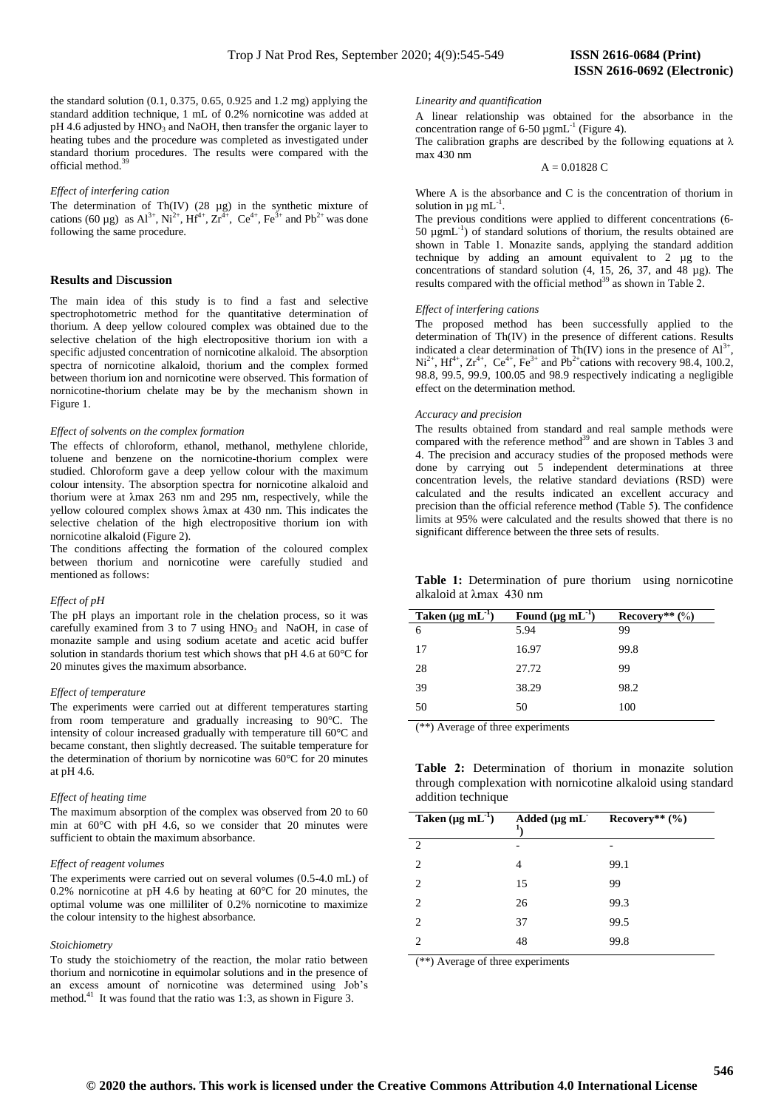#### *Effect of interfering cation*

The determination of Th $(IV)$   $(28 \mu g)$  in the synthetic mixture of cations (60 µg) as  $Al^{3+}$ ,  $Ni^{2+}$ ,  $Hf^{4+}$ ,  $Zr^{4+}$ ,  $Ce^{4+}$ ,  $Fe^{3+}$  and  $Pb^{2+}$  was done following the same procedure.

## **Results and** D**iscussion**

The main idea of this study is to find a fast and selective spectrophotometric method for the quantitative determination of thorium. A deep yellow coloured complex was obtained due to the selective chelation of the high electropositive thorium ion with a specific adjusted concentration of nornicotine alkaloid. The absorption spectra of nornicotine alkaloid, thorium and the complex formed between thorium ion and nornicotine were observed. This formation of nornicotine-thorium chelate may be by the mechanism shown in Figure 1.

#### *Effect of solvents on the complex formation*

The effects of chloroform, ethanol, methanol, methylene chloride, toluene and benzene on the nornicotine-thorium complex were studied. Chloroform gave a deep yellow colour with the maximum colour intensity. The absorption spectra for nornicotine alkaloid and thorium were at λmax 263 nm and 295 nm, respectively, while the yellow coloured complex shows λmax at 430 nm. This indicates the selective chelation of the high electropositive thorium ion with nornicotine alkaloid (Figure 2).

The conditions affecting the formation of the coloured complex between thorium and nornicotine were carefully studied and mentioned as follows:

#### *Effect of pH*

The pH plays an important role in the chelation process, so it was carefully examined from 3 to 7 using  $HNO<sub>3</sub>$  and NaOH, in case of monazite sample and using sodium acetate and acetic acid buffer solution in standards thorium test which shows that pH 4.6 at 60°C for 20 minutes gives the maximum absorbance.

#### *Effect of temperature*

The experiments were carried out at different temperatures starting from room temperature and gradually increasing to 90°C. The intensity of colour increased gradually with temperature till 60°C and became constant, then slightly decreased. The suitable temperature for the determination of thorium by nornicotine was 60°C for 20 minutes at pH 4.6.

#### *Effect of heating time*

The maximum absorption of the complex was observed from 20 to 60 min at 60°C with pH 4.6, so we consider that 20 minutes were sufficient to obtain the maximum absorbance.

#### *Effect of reagent volumes*

The experiments were carried out on several volumes (0.5-4.0 mL) of 0.2% nornicotine at pH 4.6 by heating at 60°C for 20 minutes, the optimal volume was one milliliter of 0.2% nornicotine to maximize the colour intensity to the highest absorbance.

#### *Stoichiometry*

To study the stoichiometry of the reaction, the molar ratio between thorium and nornicotine in equimolar solutions and in the presence of an excess amount of nornicotine was determined using Job's method.<sup>41</sup> It was found that the ratio was 1:3, as shown in Figure 3.

#### *Linearity and quantification*

A linear relationship was obtained for the absorbance in the concentration range of 6-50  $\mu$ gmL<sup>-1</sup> (Figure 4).

The calibration graphs are described by the following equations at  $\lambda$ max 430 nm

 $A = 0.01828 C$ 

Where A is the absorbance and C is the concentration of thorium in solution in  $\mu$ g mL<sup>-1</sup> .

The previous conditions were applied to different concentrations (6-  $50 \mu g$ mL<sup>-1</sup>) of standard solutions of thorium, the results obtained are shown in Table 1. Monazite sands, applying the standard addition technique by adding an amount equivalent to 2 µg to the concentrations of standard solution (4, 15, 26, 37, and 48 µg). The results compared with the official method<sup>39</sup> as shown in Table 2.

## *Effect of interfering cations*

The proposed method has been successfully applied to the determination of Th(IV) in the presence of different cations. Results indicated a clear determination of Th(IV) ions in the presence of  $Al^{3+}$ ,  $Ni^{2+}$ , Hf<sup>4+</sup>,  $Zr^{4+}$ ,  $Ce^{4+}$ ,  $Fe^{3+}$  and  $Pb^{2+}$ cations with recovery 98.4, 100.2, 98.8, 99.5, 99.9, 100.05 and 98.9 respectively indicating a negligible effect on the determination method.

#### *Accuracy and precision*

The results obtained from standard and real sample methods were compared with the reference method<sup>39</sup> and are shown in Tables 3 and 4. The precision and accuracy studies of the proposed methods were done by carrying out 5 independent determinations at three concentration levels, the relative standard deviations (RSD) were calculated and the results indicated an excellent accuracy and precision than the official reference method (Table 5). The confidence limits at 95% were calculated and the results showed that there is no significant difference between the three sets of results.

| Table 1: Determination of pure thorium using nornicotine |  |
|----------------------------------------------------------|--|
| alkaloid at λmax 430 nm                                  |  |

| Taken $(\mu g \, mL^{-1})$ | Found $(\mu g \, mL^{-1})$ | Recovery** $(\%)$ |
|----------------------------|----------------------------|-------------------|
| -6                         | 5.94                       | 99                |
| 17                         | 16.97                      | 99.8              |
| 28                         | 27.72                      | 99                |
| 39                         | 38.29                      | 98.2              |
| 50                         | 50                         | 100               |

(\*\*) Average of three experiments

|  | <b>Table 2:</b> Determination of thorium in monazite solution |  |  |  |  |
|--|---------------------------------------------------------------|--|--|--|--|
|  | through complexation with nornicotine alkaloid using standard |  |  |  |  |
|  | addition technique                                            |  |  |  |  |

| Taken $(\mu g \, mL^{-1})$ | Added $(\mu g \, mL$<br>Ŧ, | Recovery** $(\% )$ |
|----------------------------|----------------------------|--------------------|
| $\mathcal{L}$              | -                          | -                  |
| $\overline{2}$             | 4                          | 99.1               |
| $\overline{c}$             | 15                         | 99                 |
| 2                          | 26                         | 99.3               |
| 2                          | 37                         | 99.5               |
| 2                          | 48                         | 99.8               |

(\*\*) Average of three experiments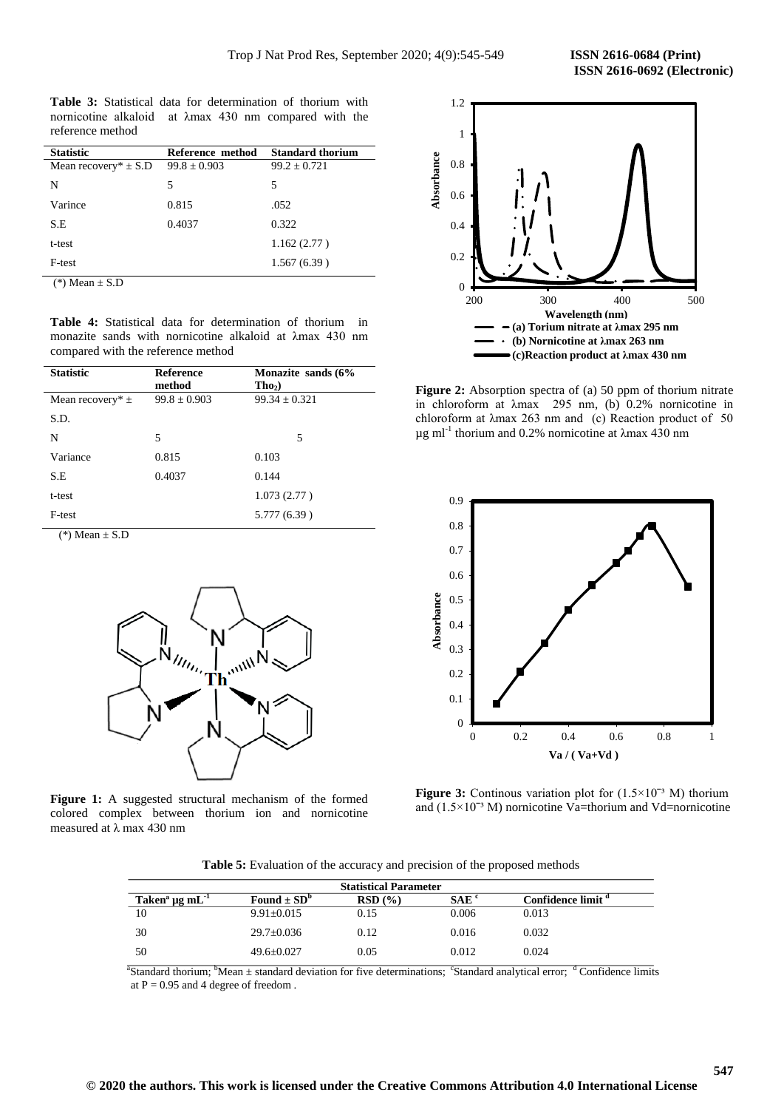**Table 3:** Statistical data for determination of thorium with nornicotine alkaloid at λmax 430 nm compared with the reference method

| <b>Statistic</b>         | Reference method | <b>Standard thorium</b> |
|--------------------------|------------------|-------------------------|
| Mean recovery* $\pm$ S.D | $99.8 \pm 0.903$ | $99.2 \pm 0.721$        |
| N                        | 5                | 5                       |
| Varince                  | 0.815            | .052                    |
| S.E                      | 0.4037           | 0.322                   |
| t-test                   |                  | 1.162(2.77)             |
| F-test                   |                  | 1.567(6.39)             |
| $(*)$ Moon + $\Omega$ D  |                  |                         |

 $*)$  Mean  $\pm$  S.D

**Table 4:** Statistical data for determination of thorium in monazite sands with nornicotine alkaloid at λmax 430 nm compared with the reference method

| <b>Statistic</b>                                    | <b>Reference</b><br>method | Monazite sands (6%<br>$Tho_2$ ) |
|-----------------------------------------------------|----------------------------|---------------------------------|
| Mean recovery* $\pm$                                | $99.8 \pm 0.903$           | $99.34 \pm 0.321$               |
| S.D.                                                |                            |                                 |
| N                                                   | 5                          | 5                               |
| Variance                                            | 0.815                      | 0.103                           |
| S.E                                                 | 0.4037                     | 0.144                           |
| t-test                                              |                            | 1.073(2.77)                     |
| F-test                                              |                            | 5.777 (6.39)                    |
| $\sim$ $\sim$ $\sim$ $\sim$ $\sim$<br>$\sim$ $\sim$ |                            |                                 |

 $(*)$  Mean  $\pm$  S.D



Figure 1: A suggested structural mechanism of the formed colored complex between thorium ion and nornicotine measured at λ max 430 nm



**Figure 2:** Absorption spectra of (a) 50 ppm of thorium nitrate in chloroform at λmax 295 nm, (b) 0.2% nornicotine in chloroform at λmax 263 nm and (c) Reaction product of 50  $\mu$ g ml<sup>-1</sup> thorium and 0.2% nornicotine at  $\lambda$ max 430 nm



Figure 3: Continous variation plot for  $(1.5 \times 10^{-3} \text{ M})$  thorium and  $(1.5 \times 10^{-3}$  M) nornicotine Va=thorium and Vd=nornicotine

**Table 5:** Evaluation of the accuracy and precision of the proposed methods

|                                  |                             | <b>Statistical Parameter</b> |                  |                               |
|----------------------------------|-----------------------------|------------------------------|------------------|-------------------------------|
| Taken <sup>a</sup> µg m $L^{-1}$ | Found $\pm$ SD <sup>b</sup> | RSD(%)                       | SAE <sup>c</sup> | Confidence limit <sup>a</sup> |
| 10                               | $9.91 \pm 0.015$            | 0.15                         | 0.006            | 0.013                         |
| 30                               | $29.7 \pm 0.036$            | 0.12                         | 0.016            | 0.032                         |
| 50                               | $49.6 + 0.027$              | 0.05                         | 0.012            | 0.024                         |

a a shekarar 1972 Standard thorium;  ${}^{b}$ Mean  $\pm$  standard deviation for five determinations; <sup>c</sup>Standard analytical error; <sup>d</sup> Confidence limits at  $P = 0.95$  and 4 degree of freedom.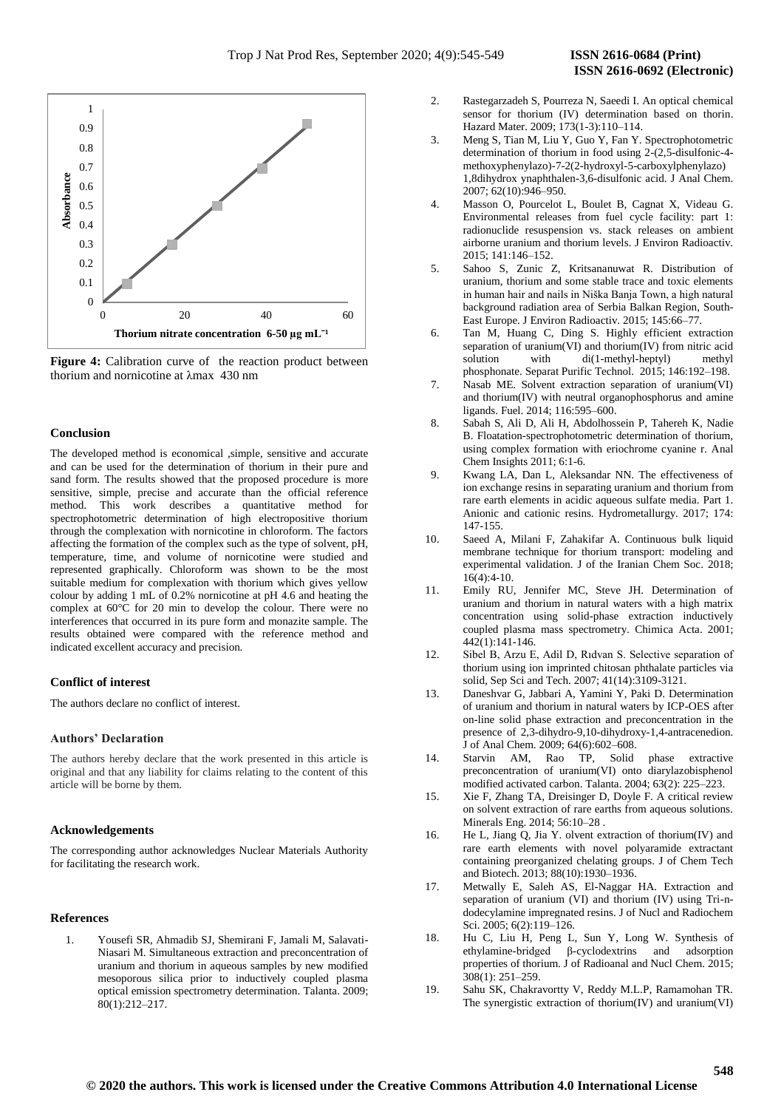

**Figure 4:** Calibration curve of the reaction product between thorium and nornicotine at λmax 430 nm

## **Conclusion**

The developed method is economical ,simple, sensitive and accurate and can be used for the determination of thorium in their pure and sand form. The results showed that the proposed procedure is more sensitive, simple, precise and accurate than the official reference method. This work describes a quantitative method for spectrophotometric determination of high electropositive thorium through the complexation with nornicotine in chloroform. The factors affecting the formation of the complex such as the type of solvent, pH, temperature, time, and volume of nornicotine were studied and represented graphically. Chloroform was shown to be the most suitable medium for complexation with thorium which gives yellow colour by adding 1 mL of 0.2% nornicotine at pH 4.6 and heating the complex at 60°C for 20 min to develop the colour. There were no interferences that occurred in its pure form and monazite sample. The results obtained were compared with the reference method and indicated excellent accuracy and precision.

## **Conflict of interest**

The authors declare no conflict of interest.

## **Authors' Declaration**

The authors hereby declare that the work presented in this article is original and that any liability for claims relating to the content of this article will be borne by them.

## **Acknowledgements**

The corresponding author acknowledges Nuclear Materials Authority for facilitating the research work.

## **References**

1. Yousefi SR, Ahmadib SJ, Shemirani F, Jamali M, Salavati-Niasari M. Simultaneous extraction and preconcentration of uranium and thorium in aqueous samples by new modified mesoporous silica prior to inductively coupled plasma optical emission spectrometry determination. Talanta. 2009; 80(1):212–217.

- 2. Rastegarzadeh S, Pourreza N, Saeedi I. An optical chemical sensor for thorium (IV) determination based on thorin. Hazard Mater. 2009; 173(1-3):110–114.
- 3. Meng S, Tian M, Liu Y, Guo Y, Fan Y. Spectrophotometric determination of thorium in food using 2-(2,5-disulfonic-4 methoxyphenylazo)-7-2(2-hydroxyl-5-carboxylphenylazo) 1,8dihydrox ynaphthalen-3,6-disulfonic acid. J Anal Chem. 2007; 62(10):946–950.
- 4. Masson O, Pourcelot L, Boulet B, Cagnat X, Videau G. Environmental releases from fuel cycle facility: part 1: radionuclide resuspension vs. stack releases on ambient airborne uranium and thorium levels. J Environ Radioactiv. 2015; 141:146–152.
- 5. Sahoo S, Zunic Z, Kritsananuwat R. Distribution of uranium, thorium and some stable trace and toxic elements in human hair and nails in Niška Banja Town, a high natural background radiation area of Serbia Balkan Region, South-East Europe. J Environ Radioactiv. 2015; 145:66–77.
- 6. Tan M, Huang C, Ding S. Highly efficient extraction separation of uranium(VI) and thorium(IV) from nitric acid solution with di(1-methyl-heptyl) methyl phosphonate. Separat Purific Technol. 2015; 146:192–198.
- 7. Nasab ME. Solvent extraction separation of uranium(VI) and thorium(IV) with neutral organophosphorus and amine ligands. Fuel. 2014; 116:595–600.
- 8. Sabah S, Ali D, Ali H, Abdolhossein P, Tahereh K, Nadie B. Floatation-spectrophotometric determination of thorium, using complex formation with eriochrome cyanine r. Anal Chem Insights 2011; 6:1-6.
- 9. Kwang LA, Dan L, Aleksandar NN. The effectiveness of ion exchange resins in separating uranium and thorium from rare earth elements in acidic aqueous sulfate media. Part 1. Anionic and cationic resins. Hydrometallurgy. 2017; 174: 147-155.
- 10. Saeed A, Milani F, Zahakifar A. Continuous bulk liquid membrane technique for thorium transport: modeling and experimental validation. J of the Iranian Chem Soc. 2018;  $16(4) \cdot 4 - 10$
- 11. Emily RU, Jennifer MC, Steve JH. Determination of uranium and thorium in natural waters with a high matrix concentration using solid-phase extraction inductively coupled plasma mass spectrometry. Chimica Acta. 2001; 442(1):141-146.
- 12. Sibel B, Arzu E, Adil D, Rıdvan S. Selective separation of thorium using ion imprinted chitosan phthalate particles via solid, Sep Sci and Tech. 2007; 41(14):3109-3121.
- 13. Daneshvar G, Jabbari A, Yamini Y, Paki D. Determination of uranium and thorium in natural waters by ICP-OES after on-line solid phase extraction and preconcentration in the presence of 2,3-dihydro-9,10-dihydroxy-1,4-antracenedion. J of Anal Chem. 2009; 64(6):602–608.
- 14. Starvin AM, Rao TP, Solid phase extractive preconcentration of uranium(VI) onto diarylazobisphenol modified activated carbon. Talanta. 2004; 63(2): 225–223.
- 15. Xie F, Zhang TA, Dreisinger D, Doyle F. A critical review on solvent extraction of rare earths from aqueous solutions. Minerals Eng. 2014; 56:10–28 .
- 16. He L, Jiang Q, Jia Y. olvent extraction of thorium(IV) and rare earth elements with novel polyaramide extractant containing preorganized chelating groups. J of Chem Tech and Biotech. 2013; 88(10):1930–1936.
- 17. Metwally E, Saleh AS, El-Naggar HA. Extraction and separation of uranium (VI) and thorium (IV) using Tri-ndodecylamine impregnated resins. J of Nucl and Radiochem Sci. 2005; 6(2):119–126.
- 18. Hu C, Liu H, Peng L, Sun Y, Long W. Synthesis of ethylamine-bridged β-cyclodextrins and adsorption properties of thorium. J of Radioanal and Nucl Chem. 2015; 308(1): 251–259.
- 19. Sahu SK, Chakravortty V, Reddy M.L.P, Ramamohan TR. The synergistic extraction of thorium(IV) and uranium(VI)